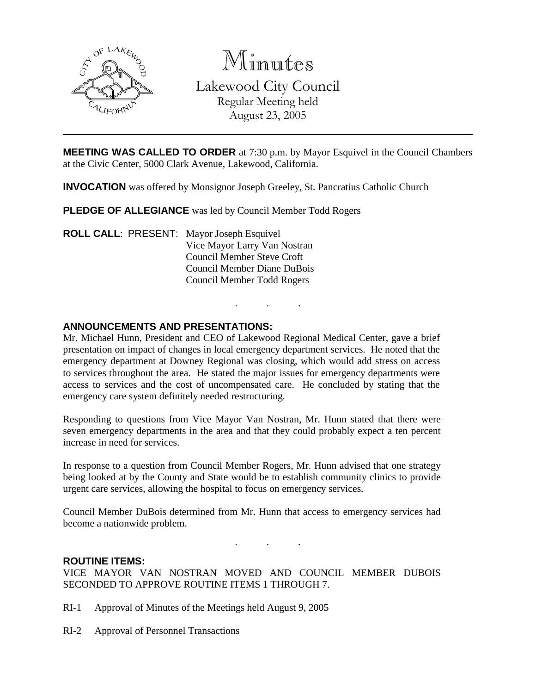

Minutes Lakewood City Council Regular Meeting held August 23, 2005

**MEETING WAS CALLED TO ORDER** at 7:30 p.m. by Mayor Esquivel in the Council Chambers at the Civic Center, 5000 Clark Avenue, Lakewood, California.

**INVOCATION** was offered by Monsignor Joseph Greeley, St. Pancratius Catholic Church

**PLEDGE OF ALLEGIANCE** was led by Council Member Todd Rogers

**ROLL CALL**: PRESENT: Mayor Joseph Esquivel Vice Mayor Larry Van Nostran Council Member Steve Croft Council Member Diane DuBois Council Member Todd Rogers

# **ANNOUNCEMENTS AND PRESENTATIONS:**

Mr. Michael Hunn, President and CEO of Lakewood Regional Medical Center, gave a brief presentation on impact of changes in local emergency department services. He noted that the emergency department at Downey Regional was closing, which would add stress on access to services throughout the area. He stated the major issues for emergency departments were access to services and the cost of uncompensated care. He concluded by stating that the emergency care system definitely needed restructuring.

. . .

Responding to questions from Vice Mayor Van Nostran, Mr. Hunn stated that there were seven emergency departments in the area and that they could probably expect a ten percent increase in need for services.

In response to a question from Council Member Rogers, Mr. Hunn advised that one strategy being looked at by the County and State would be to establish community clinics to provide urgent care services, allowing the hospital to focus on emergency services.

Council Member DuBois determined from Mr. Hunn that access to emergency services had become a nationwide problem.

. . .

#### **ROUTINE ITEMS:**

VICE MAYOR VAN NOSTRAN MOVED AND COUNCIL MEMBER DUBOIS SECONDED TO APPROVE ROUTINE ITEMS 1 THROUGH 7.

- RI-1 Approval of Minutes of the Meetings held August 9, 2005
- RI-2 Approval of Personnel Transactions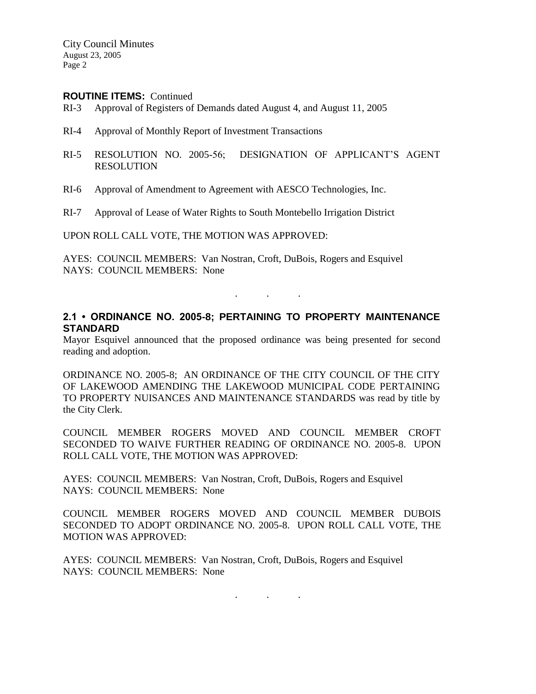City Council Minutes August 23, 2005 Page 2

#### **ROUTINE ITEMS:** Continued

- RI-3 Approval of Registers of Demands dated August 4, and August 11, 2005
- RI-4 Approval of Monthly Report of Investment Transactions
- RI-5 RESOLUTION NO. 2005-56; DESIGNATION OF APPLICANT'S AGENT RESOLUTION
- RI-6 Approval of Amendment to Agreement with AESCO Technologies, Inc.
- RI-7 Approval of Lease of Water Rights to South Montebello Irrigation District

UPON ROLL CALL VOTE, THE MOTION WAS APPROVED:

AYES: COUNCIL MEMBERS: Van Nostran, Croft, DuBois, Rogers and Esquivel NAYS: COUNCIL MEMBERS: None

### **2.1 • ORDINANCE NO. 2005-8; PERTAINING TO PROPERTY MAINTENANCE STANDARD**

. . .

Mayor Esquivel announced that the proposed ordinance was being presented for second reading and adoption.

ORDINANCE NO. 2005-8; AN ORDINANCE OF THE CITY COUNCIL OF THE CITY OF LAKEWOOD AMENDING THE LAKEWOOD MUNICIPAL CODE PERTAINING TO PROPERTY NUISANCES AND MAINTENANCE STANDARDS was read by title by the City Clerk.

COUNCIL MEMBER ROGERS MOVED AND COUNCIL MEMBER CROFT SECONDED TO WAIVE FURTHER READING OF ORDINANCE NO. 2005-8. UPON ROLL CALL VOTE, THE MOTION WAS APPROVED:

AYES: COUNCIL MEMBERS: Van Nostran, Croft, DuBois, Rogers and Esquivel NAYS: COUNCIL MEMBERS: None

COUNCIL MEMBER ROGERS MOVED AND COUNCIL MEMBER DUBOIS SECONDED TO ADOPT ORDINANCE NO. 2005-8. UPON ROLL CALL VOTE, THE MOTION WAS APPROVED:

AYES: COUNCIL MEMBERS: Van Nostran, Croft, DuBois, Rogers and Esquivel NAYS: COUNCIL MEMBERS: None

. . .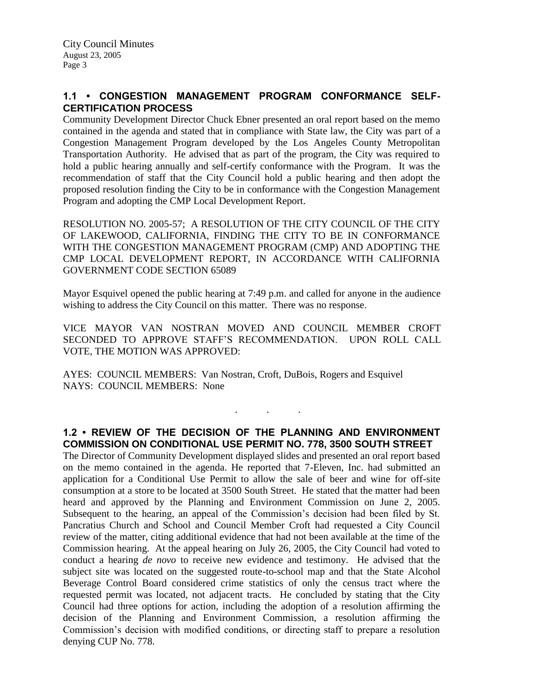# **1.1 • CONGESTION MANAGEMENT PROGRAM CONFORMANCE SELF-CERTIFICATION PROCESS**

Community Development Director Chuck Ebner presented an oral report based on the memo contained in the agenda and stated that in compliance with State law, the City was part of a Congestion Management Program developed by the Los Angeles County Metropolitan Transportation Authority. He advised that as part of the program, the City was required to hold a public hearing annually and self-certify conformance with the Program. It was the recommendation of staff that the City Council hold a public hearing and then adopt the proposed resolution finding the City to be in conformance with the Congestion Management Program and adopting the CMP Local Development Report.

RESOLUTION NO. 2005-57; A RESOLUTION OF THE CITY COUNCIL OF THE CITY OF LAKEWOOD, CALIFORNIA, FINDING THE CITY TO BE IN CONFORMANCE WITH THE CONGESTION MANAGEMENT PROGRAM (CMP) AND ADOPTING THE CMP LOCAL DEVELOPMENT REPORT, IN ACCORDANCE WITH CALIFORNIA GOVERNMENT CODE SECTION 65089

Mayor Esquivel opened the public hearing at 7:49 p.m. and called for anyone in the audience wishing to address the City Council on this matter. There was no response.

VICE MAYOR VAN NOSTRAN MOVED AND COUNCIL MEMBER CROFT SECONDED TO APPROVE STAFF'S RECOMMENDATION. UPON ROLL CALL VOTE, THE MOTION WAS APPROVED:

AYES: COUNCIL MEMBERS: Van Nostran, Croft, DuBois, Rogers and Esquivel NAYS: COUNCIL MEMBERS: None

# **1.2 • REVIEW OF THE DECISION OF THE PLANNING AND ENVIRONMENT COMMISSION ON CONDITIONAL USE PERMIT NO. 778, 3500 SOUTH STREET**

. . .

The Director of Community Development displayed slides and presented an oral report based on the memo contained in the agenda. He reported that 7-Eleven, Inc. had submitted an application for a Conditional Use Permit to allow the sale of beer and wine for off-site consumption at a store to be located at 3500 South Street. He stated that the matter had been heard and approved by the Planning and Environment Commission on June 2, 2005. Subsequent to the hearing, an appeal of the Commission's decision had been filed by St. Pancratius Church and School and Council Member Croft had requested a City Council review of the matter, citing additional evidence that had not been available at the time of the Commission hearing. At the appeal hearing on July 26, 2005, the City Council had voted to conduct a hearing *de novo* to receive new evidence and testimony. He advised that the subject site was located on the suggested route-to-school map and that the State Alcohol Beverage Control Board considered crime statistics of only the census tract where the requested permit was located, not adjacent tracts. He concluded by stating that the City Council had three options for action, including the adoption of a resolution affirming the decision of the Planning and Environment Commission, a resolution affirming the Commission's decision with modified conditions, or directing staff to prepare a resolution denying CUP No. 778.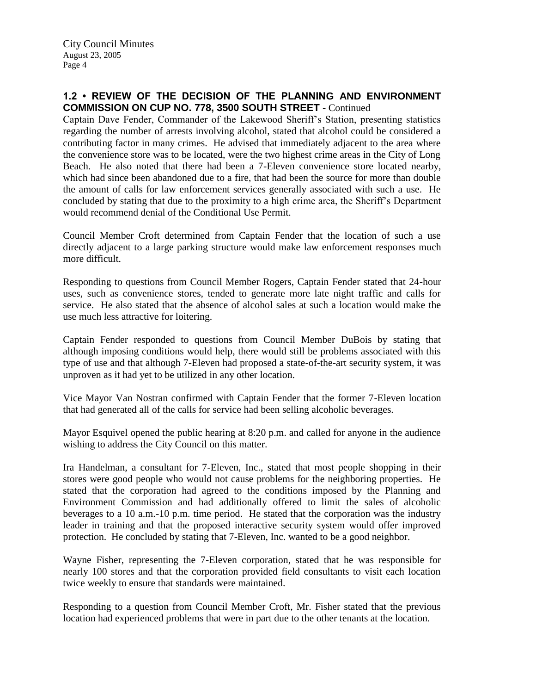# **1.2 • REVIEW OF THE DECISION OF THE PLANNING AND ENVIRONMENT COMMISSION ON CUP NO. 778, 3500 SOUTH STREET** - Continued

Captain Dave Fender, Commander of the Lakewood Sheriff's Station, presenting statistics regarding the number of arrests involving alcohol, stated that alcohol could be considered a contributing factor in many crimes. He advised that immediately adjacent to the area where the convenience store was to be located, were the two highest crime areas in the City of Long Beach. He also noted that there had been a 7-Eleven convenience store located nearby, which had since been abandoned due to a fire, that had been the source for more than double the amount of calls for law enforcement services generally associated with such a use. He concluded by stating that due to the proximity to a high crime area, the Sheriff's Department would recommend denial of the Conditional Use Permit.

Council Member Croft determined from Captain Fender that the location of such a use directly adjacent to a large parking structure would make law enforcement responses much more difficult.

Responding to questions from Council Member Rogers, Captain Fender stated that 24-hour uses, such as convenience stores, tended to generate more late night traffic and calls for service. He also stated that the absence of alcohol sales at such a location would make the use much less attractive for loitering.

Captain Fender responded to questions from Council Member DuBois by stating that although imposing conditions would help, there would still be problems associated with this type of use and that although 7-Eleven had proposed a state-of-the-art security system, it was unproven as it had yet to be utilized in any other location.

Vice Mayor Van Nostran confirmed with Captain Fender that the former 7-Eleven location that had generated all of the calls for service had been selling alcoholic beverages.

Mayor Esquivel opened the public hearing at 8:20 p.m. and called for anyone in the audience wishing to address the City Council on this matter.

Ira Handelman, a consultant for 7-Eleven, Inc., stated that most people shopping in their stores were good people who would not cause problems for the neighboring properties. He stated that the corporation had agreed to the conditions imposed by the Planning and Environment Commission and had additionally offered to limit the sales of alcoholic beverages to a 10 a.m.-10 p.m. time period. He stated that the corporation was the industry leader in training and that the proposed interactive security system would offer improved protection. He concluded by stating that 7-Eleven, Inc. wanted to be a good neighbor.

Wayne Fisher, representing the 7-Eleven corporation, stated that he was responsible for nearly 100 stores and that the corporation provided field consultants to visit each location twice weekly to ensure that standards were maintained.

Responding to a question from Council Member Croft, Mr. Fisher stated that the previous location had experienced problems that were in part due to the other tenants at the location.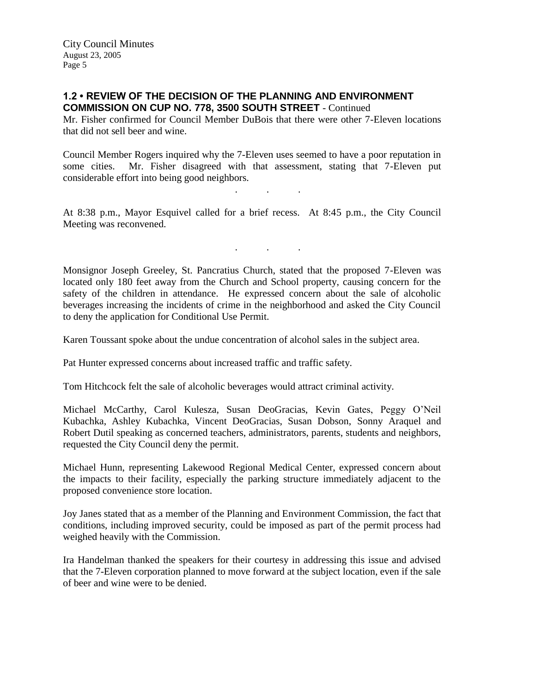# **1.2 • REVIEW OF THE DECISION OF THE PLANNING AND ENVIRONMENT COMMISSION ON CUP NO. 778, 3500 SOUTH STREET** - Continued

Mr. Fisher confirmed for Council Member DuBois that there were other 7-Eleven locations that did not sell beer and wine.

Council Member Rogers inquired why the 7-Eleven uses seemed to have a poor reputation in some cities. Mr. Fisher disagreed with that assessment, stating that 7-Eleven put considerable effort into being good neighbors.

. . .

. . .

At 8:38 p.m., Mayor Esquivel called for a brief recess. At 8:45 p.m., the City Council Meeting was reconvened.

Monsignor Joseph Greeley, St. Pancratius Church, stated that the proposed 7-Eleven was located only 180 feet away from the Church and School property, causing concern for the safety of the children in attendance. He expressed concern about the sale of alcoholic beverages increasing the incidents of crime in the neighborhood and asked the City Council to deny the application for Conditional Use Permit.

Karen Toussant spoke about the undue concentration of alcohol sales in the subject area.

Pat Hunter expressed concerns about increased traffic and traffic safety.

Tom Hitchcock felt the sale of alcoholic beverages would attract criminal activity.

Michael McCarthy, Carol Kulesza, Susan DeoGracias, Kevin Gates, Peggy O'Neil Kubachka, Ashley Kubachka, Vincent DeoGracias, Susan Dobson, Sonny Araquel and Robert Dutil speaking as concerned teachers, administrators, parents, students and neighbors, requested the City Council deny the permit.

Michael Hunn, representing Lakewood Regional Medical Center, expressed concern about the impacts to their facility, especially the parking structure immediately adjacent to the proposed convenience store location.

Joy Janes stated that as a member of the Planning and Environment Commission, the fact that conditions, including improved security, could be imposed as part of the permit process had weighed heavily with the Commission.

Ira Handelman thanked the speakers for their courtesy in addressing this issue and advised that the 7-Eleven corporation planned to move forward at the subject location, even if the sale of beer and wine were to be denied.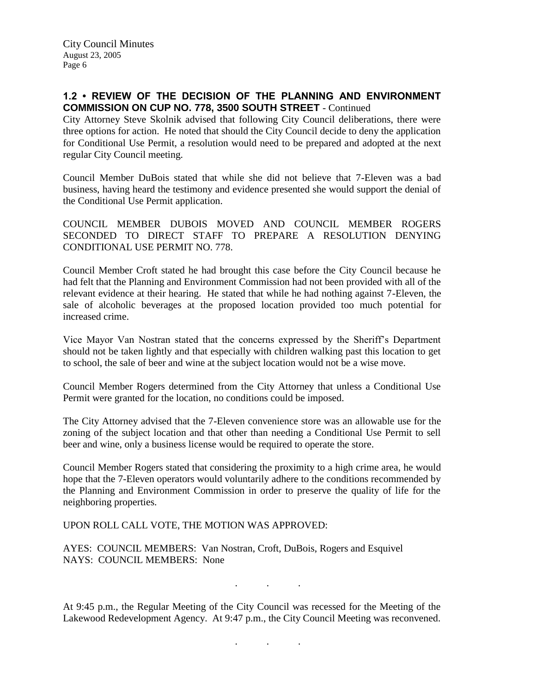# **1.2 • REVIEW OF THE DECISION OF THE PLANNING AND ENVIRONMENT COMMISSION ON CUP NO. 778, 3500 SOUTH STREET** - Continued

City Attorney Steve Skolnik advised that following City Council deliberations, there were three options for action. He noted that should the City Council decide to deny the application for Conditional Use Permit, a resolution would need to be prepared and adopted at the next regular City Council meeting.

Council Member DuBois stated that while she did not believe that 7-Eleven was a bad business, having heard the testimony and evidence presented she would support the denial of the Conditional Use Permit application.

COUNCIL MEMBER DUBOIS MOVED AND COUNCIL MEMBER ROGERS SECONDED TO DIRECT STAFF TO PREPARE A RESOLUTION DENYING CONDITIONAL USE PERMIT NO. 778.

Council Member Croft stated he had brought this case before the City Council because he had felt that the Planning and Environment Commission had not been provided with all of the relevant evidence at their hearing. He stated that while he had nothing against 7-Eleven, the sale of alcoholic beverages at the proposed location provided too much potential for increased crime.

Vice Mayor Van Nostran stated that the concerns expressed by the Sheriff's Department should not be taken lightly and that especially with children walking past this location to get to school, the sale of beer and wine at the subject location would not be a wise move.

Council Member Rogers determined from the City Attorney that unless a Conditional Use Permit were granted for the location, no conditions could be imposed.

The City Attorney advised that the 7-Eleven convenience store was an allowable use for the zoning of the subject location and that other than needing a Conditional Use Permit to sell beer and wine, only a business license would be required to operate the store.

Council Member Rogers stated that considering the proximity to a high crime area, he would hope that the 7-Eleven operators would voluntarily adhere to the conditions recommended by the Planning and Environment Commission in order to preserve the quality of life for the neighboring properties.

UPON ROLL CALL VOTE, THE MOTION WAS APPROVED:

AYES: COUNCIL MEMBERS: Van Nostran, Croft, DuBois, Rogers and Esquivel NAYS: COUNCIL MEMBERS: None

. . .

At 9:45 p.m., the Regular Meeting of the City Council was recessed for the Meeting of the Lakewood Redevelopment Agency. At 9:47 p.m., the City Council Meeting was reconvened.

. . .